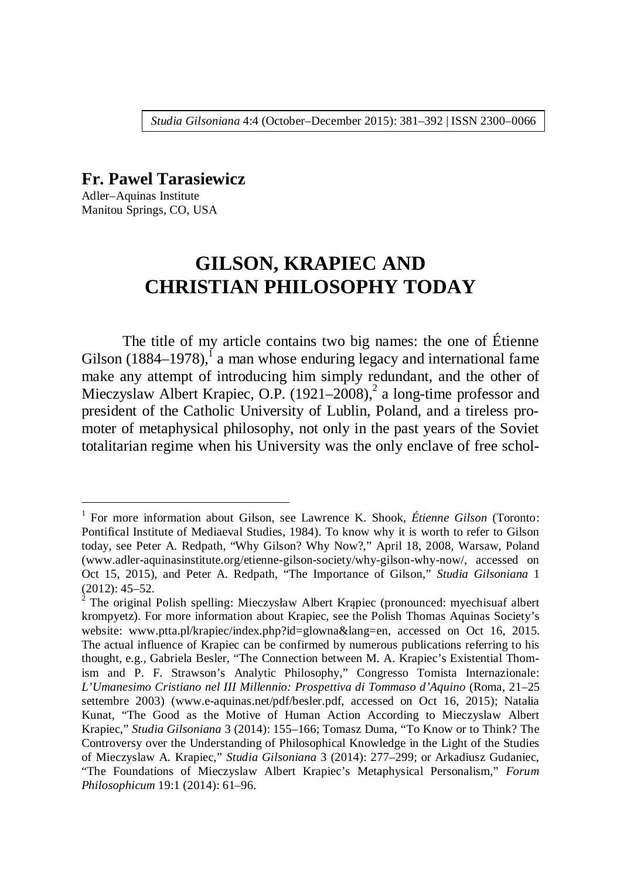*Studia Gilsoniana* 4:4 (October–December 2015): 381–392 | ISSN 2300–0066

### **Fr. Pawel Tarasiewicz**

Adler–Aquinas Institute Manitou Springs, CO, USA

<u>.</u>

# **GILSON, KRAPIEC AND CHRISTIAN PHILOSOPHY TODAY**

The title of my article contains two big names: the one of Étienne Gilson  $(1884-1978)$ ,<sup>1</sup> a man whose enduring legacy and international fame make any attempt of introducing him simply redundant, and the other of Mieczyslaw Albert Krapiec, O.P.  $(1921-2008)^2$  a long-time professor and president of the Catholic University of Lublin, Poland, and a tireless promoter of metaphysical philosophy, not only in the past years of the Soviet totalitarian regime when his University was the only enclave of free schol-

<sup>&</sup>lt;sup>1</sup> For more information about Gilson, see Lawrence K. Shook, Étienne Gilson (Toronto: Pontifical Institute of Mediaeval Studies, 1984). To know why it is worth to refer to Gilson today, see Peter A. Redpath, "Why Gilson? Why Now?," April 18, 2008, Warsaw, Poland (www.adler-aquinasinstitute.org/etienne-gilson-society/why-gilson-why-now/, accessed on Oct 15, 2015), and Peter A. Redpath, "The Importance of Gilson," *Studia Gilsoniana* 1 (2012): 45–52.

<sup>2</sup> The original Polish spelling: Mieczysáaw Albert Krąpiec (pronounced: myechisuaf albert krompyetz). For more information about Krapiec, see the Polish Thomas Aquinas Society's website: www.ptta.pl/krapiec/index.php?id=glowna&lang=en, accessed on Oct 16, 2015. The actual influence of Krapiec can be confirmed by numerous publications referring to his thought, e.g., Gabriela Besler, "The Connection between M. A. Krapiec's Existential Thomism and P. F. Strawson's Analytic Philosophy," Congresso Tomista Internazionale: *L'Umanesimo Cristiano nel III Millennio: Prospettiva di Tommaso d'Aquino* (Roma, 21–25 settembre 2003) (www.e-aquinas.net/pdf/besler.pdf, accessed on Oct 16, 2015); Natalia Kunat, "The Good as the Motive of Human Action According to Mieczyslaw Albert Krapiec," *Studia Gilsoniana* 3 (2014): 155–166; Tomasz Duma, "To Know or to Think? The Controversy over the Understanding of Philosophical Knowledge in the Light of the Studies of Mieczyslaw A. Krapiec," *Studia Gilsoniana* 3 (2014): 277–299; or Arkadiusz Gudaniec, "The Foundations of Mieczyslaw Albert Krapiec's Metaphysical Personalism," *Forum Philosophicum* 19:1 (2014): 61–96.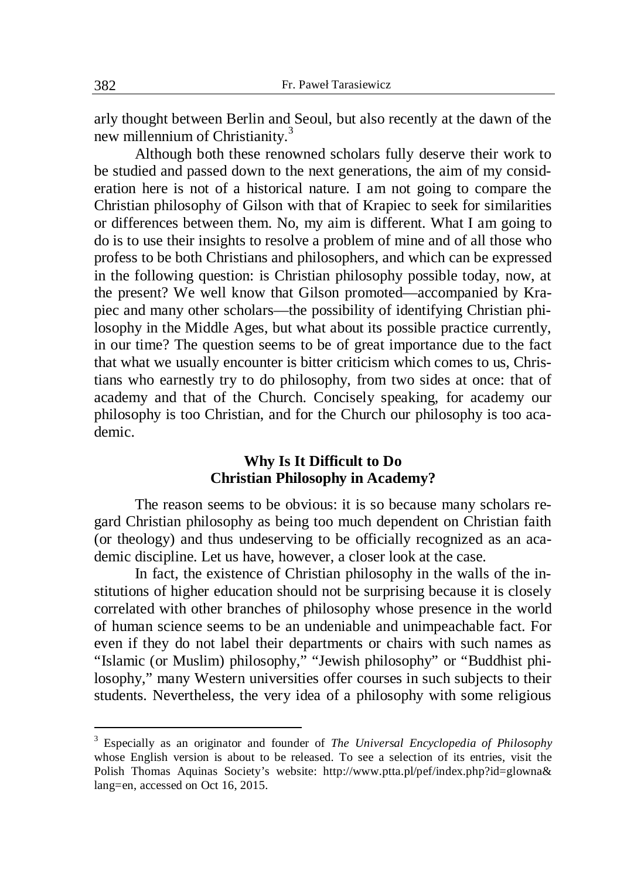arly thought between Berlin and Seoul, but also recently at the dawn of the new millennium of Christianity.<sup>3</sup>

Although both these renowned scholars fully deserve their work to be studied and passed down to the next generations, the aim of my consideration here is not of a historical nature. I am not going to compare the Christian philosophy of Gilson with that of Krapiec to seek for similarities or differences between them. No, my aim is different. What I am going to do is to use their insights to resolve a problem of mine and of all those who profess to be both Christians and philosophers, and which can be expressed in the following question: is Christian philosophy possible today, now, at the present? We well know that Gilson promoted—accompanied by Krapiec and many other scholars—the possibility of identifying Christian philosophy in the Middle Ages, but what about its possible practice currently, in our time? The question seems to be of great importance due to the fact that what we usually encounter is bitter criticism which comes to us, Christians who earnestly try to do philosophy, from two sides at once: that of academy and that of the Church. Concisely speaking, for academy our philosophy is too Christian, and for the Church our philosophy is too academic.

### **Why Is It Difficult to Do Christian Philosophy in Academy?**

The reason seems to be obvious: it is so because many scholars regard Christian philosophy as being too much dependent on Christian faith (or theology) and thus undeserving to be officially recognized as an academic discipline. Let us have, however, a closer look at the case.

In fact, the existence of Christian philosophy in the walls of the institutions of higher education should not be surprising because it is closely correlated with other branches of philosophy whose presence in the world of human science seems to be an undeniable and unimpeachable fact. For even if they do not label their departments or chairs with such names as "Islamic (or Muslim) philosophy," "Jewish philosophy" or "Buddhist philosophy," many Western universities offer courses in such subjects to their students. Nevertheless, the very idea of a philosophy with some religious

1

<sup>3</sup> Especially as an originator and founder of *The Universal Encyclopedia of Philosophy*  whose English version is about to be released. To see a selection of its entries, visit the Polish Thomas Aquinas Society's website: http://www.ptta.pl/pef/index.php?id=glowna& lang=en, accessed on Oct 16, 2015.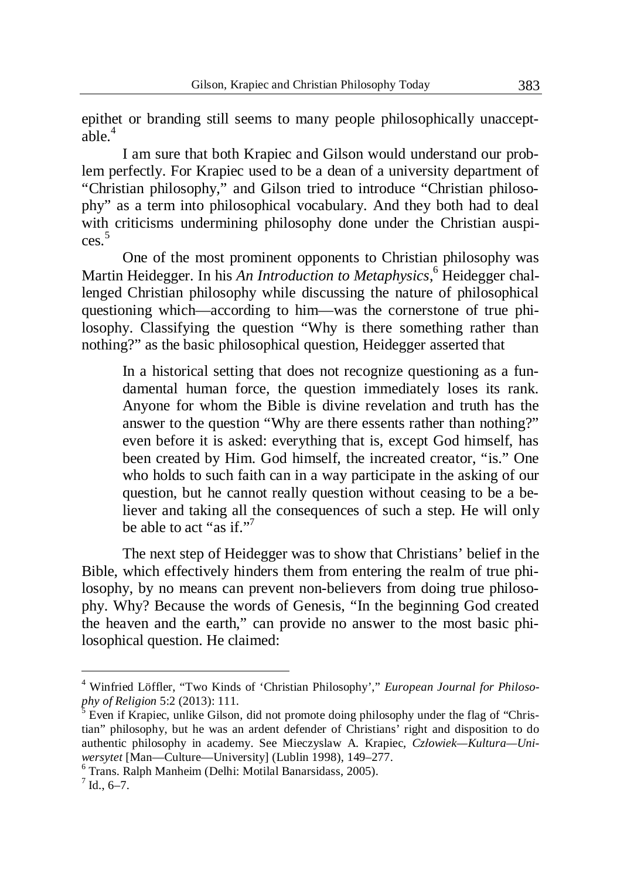epithet or branding still seems to many people philosophically unacceptable.<sup>4</sup>

I am sure that both Krapiec and Gilson would understand our problem perfectly. For Krapiec used to be a dean of a university department of "Christian philosophy," and Gilson tried to introduce "Christian philosophy" as a term into philosophical vocabulary. And they both had to deal with criticisms undermining philosophy done under the Christian auspices. 5

One of the most prominent opponents to Christian philosophy was Martin Heidegger. In his An Introduction to Metaphysics,<sup>6</sup> Heidegger challenged Christian philosophy while discussing the nature of philosophical questioning which—according to him—was the cornerstone of true philosophy. Classifying the question "Why is there something rather than nothing?" as the basic philosophical question, Heidegger asserted that

In a historical setting that does not recognize questioning as a fundamental human force, the question immediately loses its rank. Anyone for whom the Bible is divine revelation and truth has the answer to the question "Why are there essents rather than nothing?" even before it is asked: everything that is, except God himself, has been created by Him. God himself, the increated creator, "is." One who holds to such faith can in a way participate in the asking of our question, but he cannot really question without ceasing to be a believer and taking all the consequences of such a step. He will only be able to act "as if".

The next step of Heidegger was to show that Christians' belief in the Bible, which effectively hinders them from entering the realm of true philosophy, by no means can prevent non-believers from doing true philosophy. Why? Because the words of Genesis, "In the beginning God created the heaven and the earth," can provide no answer to the most basic philosophical question. He claimed:

<sup>4</sup> Winfried Löffler, "Two Kinds of 'Christian Philosophy'," *European Journal for Philosophy of Religion* 5:2 (2013): 111.

<sup>5</sup> Even if Krapiec, unlike Gilson, did not promote doing philosophy under the flag of "Christian" philosophy, but he was an ardent defender of Christians' right and disposition to do authentic philosophy in academy. See Mieczyslaw A. Krapiec, *Czáowiek—Kultura—Uniwersytet* [Man—Culture—University] (Lublin 1998), 149–277.

<sup>6</sup> Trans. Ralph Manheim (Delhi: Motilal Banarsidass, 2005).

 $^7$  Id., 6–7.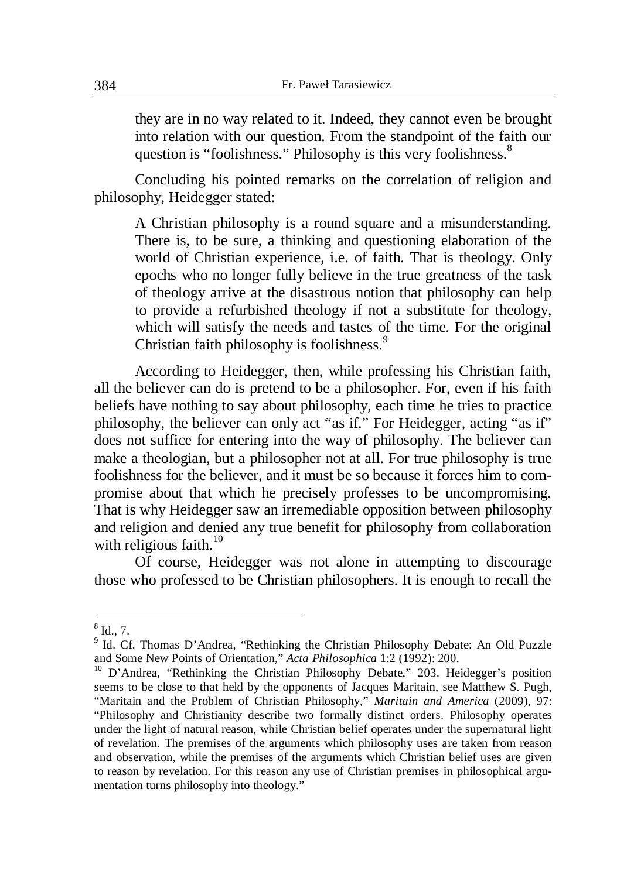they are in no way related to it. Indeed, they cannot even be brought into relation with our question. From the standpoint of the faith our question is "foolishness." Philosophy is this very foolishness.<sup>8</sup>

Concluding his pointed remarks on the correlation of religion and philosophy, Heidegger stated:

A Christian philosophy is a round square and a misunderstanding. There is, to be sure, a thinking and questioning elaboration of the world of Christian experience, i.e. of faith. That is theology. Only epochs who no longer fully believe in the true greatness of the task of theology arrive at the disastrous notion that philosophy can help to provide a refurbished theology if not a substitute for theology, which will satisfy the needs and tastes of the time. For the original Christian faith philosophy is foolishness.<sup>9</sup>

According to Heidegger, then, while professing his Christian faith, all the believer can do is pretend to be a philosopher. For, even if his faith beliefs have nothing to say about philosophy, each time he tries to practice philosophy, the believer can only act "as if." For Heidegger, acting "as if" does not suffice for entering into the way of philosophy. The believer can make a theologian, but a philosopher not at all. For true philosophy is true foolishness for the believer, and it must be so because it forces him to compromise about that which he precisely professes to be uncompromising. That is why Heidegger saw an irremediable opposition between philosophy and religion and denied any true benefit for philosophy from collaboration with religious faith. $10$ 

Of course, Heidegger was not alone in attempting to discourage those who professed to be Christian philosophers. It is enough to recall the

 $<sup>8</sup>$  Id., 7.</sup>

<sup>&</sup>lt;sup>9</sup> Id. Cf. Thomas D'Andrea, "Rethinking the Christian Philosophy Debate: An Old Puzzle and Some New Points of Orientation," *Acta Philosophica* 1:2 (1992): 200.

<sup>&</sup>lt;sup>10</sup> D'Andrea, "Rethinking the Christian Philosophy Debate," 203. Heidegger's position seems to be close to that held by the opponents of Jacques Maritain, see Matthew S. Pugh, "Maritain and the Problem of Christian Philosophy," *Maritain and America* (2009), 97: "Philosophy and Christianity describe two formally distinct orders. Philosophy operates under the light of natural reason, while Christian belief operates under the supernatural light of revelation. The premises of the arguments which philosophy uses are taken from reason and observation, while the premises of the arguments which Christian belief uses are given to reason by revelation. For this reason any use of Christian premises in philosophical argumentation turns philosophy into theology."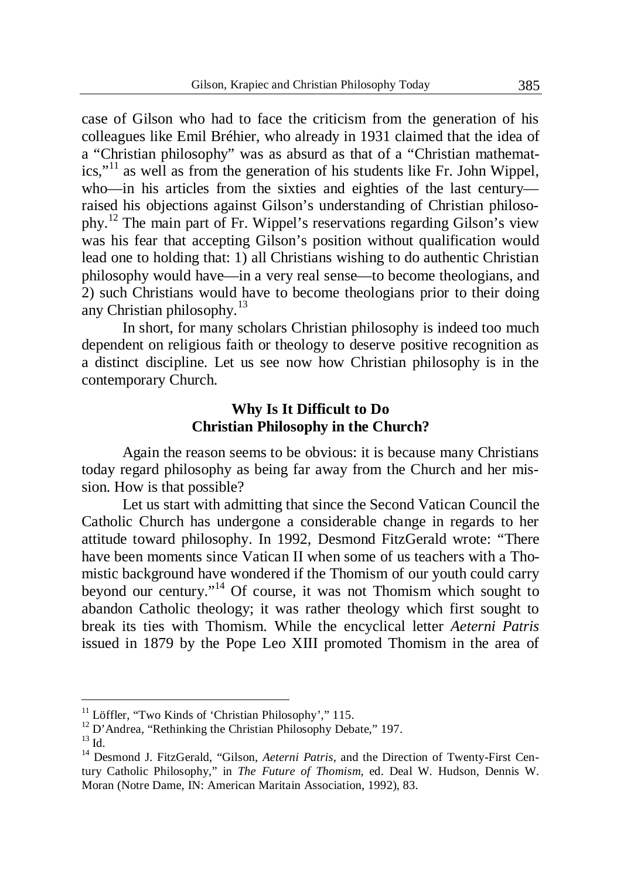case of Gilson who had to face the criticism from the generation of his colleagues like Emil Bréhier, who already in 1931 claimed that the idea of a "Christian philosophy" was as absurd as that of a "Christian mathemat $ics.$ <sup>"11</sup> as well as from the generation of his students like Fr. John Wippel, who—in his articles from the sixties and eighties of the last century raised his objections against Gilson's understanding of Christian philosophy.<sup>12</sup> The main part of Fr. Wippel's reservations regarding Gilson's view was his fear that accepting Gilson's position without qualification would lead one to holding that: 1) all Christians wishing to do authentic Christian philosophy would have—in a very real sense—to become theologians, and 2) such Christians would have to become theologians prior to their doing any Christian philosophy.<sup>13</sup>

In short, for many scholars Christian philosophy is indeed too much dependent on religious faith or theology to deserve positive recognition as a distinct discipline. Let us see now how Christian philosophy is in the contemporary Church.

# **Why Is It Difficult to Do Christian Philosophy in the Church?**

Again the reason seems to be obvious: it is because many Christians today regard philosophy as being far away from the Church and her mission. How is that possible?

Let us start with admitting that since the Second Vatican Council the Catholic Church has undergone a considerable change in regards to her attitude toward philosophy. In 1992, Desmond FitzGerald wrote: "There have been moments since Vatican II when some of us teachers with a Thomistic background have wondered if the Thomism of our youth could carry beyond our century."<sup>14</sup> Of course, it was not Thomism which sought to abandon Catholic theology; it was rather theology which first sought to break its ties with Thomism. While the encyclical letter *Aeterni Patris*  issued in 1879 by the Pope Leo XIII promoted Thomism in the area of

<sup>&</sup>lt;sup>11</sup> Löffler, "Two Kinds of 'Christian Philosophy'," 115.

<sup>&</sup>lt;sup>12</sup> D'Andrea, "Rethinking the Christian Philosophy Debate," 197.

 $^{13}$  Id.

<sup>&</sup>lt;sup>14</sup> Desmond J. FitzGerald, "Gilson, *Aeterni Patris*, and the Direction of Twenty-First Century Catholic Philosophy," in *The Future of Thomism*, ed. Deal W. Hudson, Dennis W. Moran (Notre Dame, IN: American Maritain Association, 1992), 83.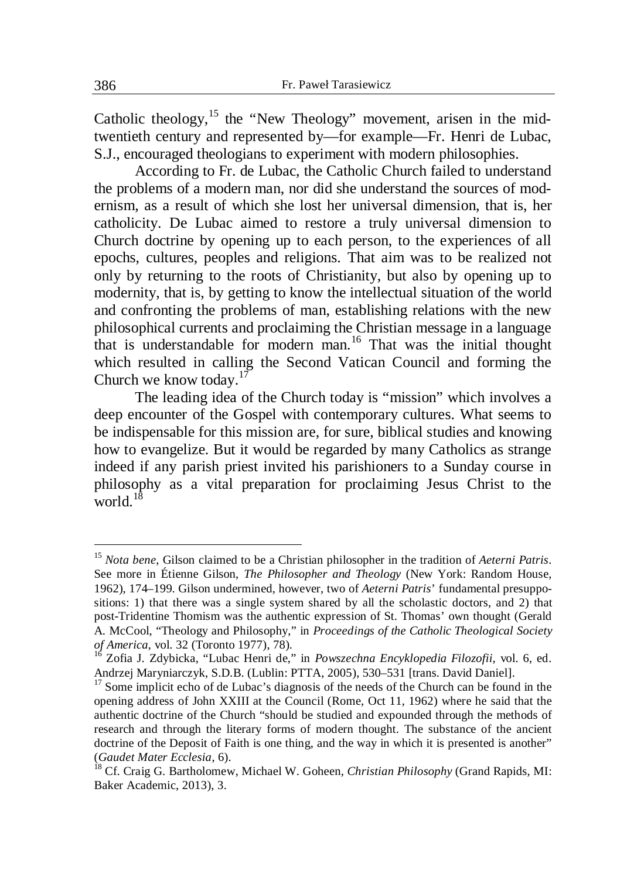Catholic theology,  $15$  the "New Theology" movement, arisen in the midtwentieth century and represented by—for example—Fr. Henri de Lubac, S.J., encouraged theologians to experiment with modern philosophies.

According to Fr. de Lubac, the Catholic Church failed to understand the problems of a modern man, nor did she understand the sources of modernism, as a result of which she lost her universal dimension, that is, her catholicity. De Lubac aimed to restore a truly universal dimension to Church doctrine by opening up to each person, to the experiences of all epochs, cultures, peoples and religions. That aim was to be realized not only by returning to the roots of Christianity, but also by opening up to modernity, that is, by getting to know the intellectual situation of the world and confronting the problems of man, establishing relations with the new philosophical currents and proclaiming the Christian message in a language that is understandable for modern man.<sup>16</sup> That was the initial thought which resulted in calling the Second Vatican Council and forming the Church we know today. $17$ 

The leading idea of the Church today is "mission" which involves a deep encounter of the Gospel with contemporary cultures. What seems to be indispensable for this mission are, for sure, biblical studies and knowing how to evangelize. But it would be regarded by many Catholics as strange indeed if any parish priest invited his parishioners to a Sunday course in philosophy as a vital preparation for proclaiming Jesus Christ to the world  $18$ 

<sup>15</sup> *Nota bene*, Gilson claimed to be a Christian philosopher in the tradition of *Aeterni Patris*. See more in Étienne Gilson, *The Philosopher and Theology* (New York: Random House, 1962), 174–199. Gilson undermined, however, two of *Aeterni Patris*' fundamental presuppositions: 1) that there was a single system shared by all the scholastic doctors, and 2) that post-Tridentine Thomism was the authentic expression of St. Thomas' own thought (Gerald A. McCool, "Theology and Philosophy," in *Proceedings of the Catholic Theological Society of America*, vol. 32 (Toronto 1977), 78).

<sup>16</sup> Zofia J. Zdybicka, "Lubac Henri de," in *Powszechna Encyklopedia Filozofii*, vol. 6, ed. Andrzej Maryniarczyk, S.D.B. (Lublin: PTTA, 2005), 530–531 [trans. David Daniel].

 $17$  Some implicit echo of de Lubac's diagnosis of the needs of the Church can be found in the opening address of John XXIII at the Council (Rome, Oct 11, 1962) where he said that the authentic doctrine of the Church "should be studied and expounded through the methods of research and through the literary forms of modern thought. The substance of the ancient doctrine of the Deposit of Faith is one thing, and the way in which it is presented is another" (*Gaudet Mater Ecclesia*, 6).

<sup>18</sup> Cf. Craig G. Bartholomew, Michael W. Goheen, *Christian Philosophy* (Grand Rapids, MI: Baker Academic, 2013), 3.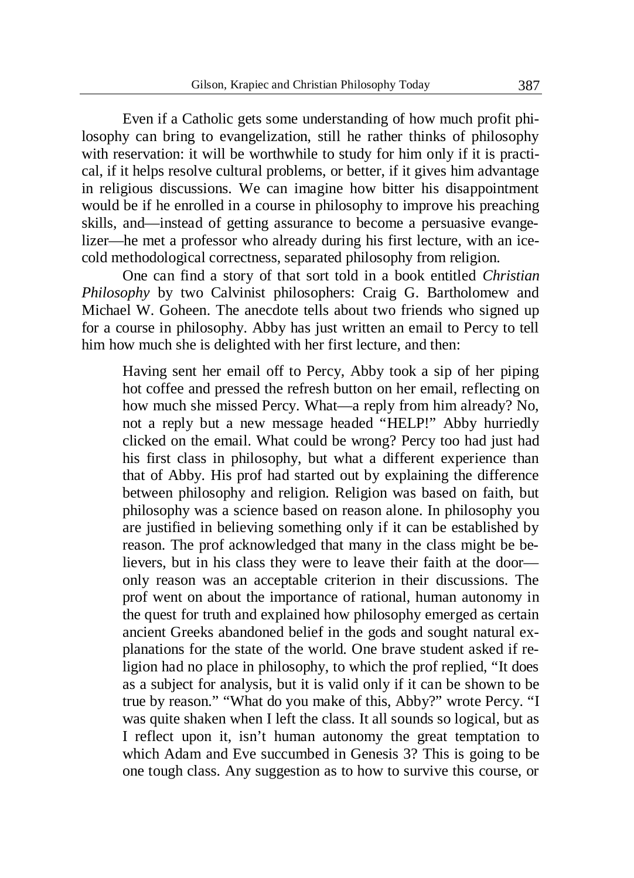Even if a Catholic gets some understanding of how much profit philosophy can bring to evangelization, still he rather thinks of philosophy with reservation: it will be worthwhile to study for him only if it is practical, if it helps resolve cultural problems, or better, if it gives him advantage in religious discussions. We can imagine how bitter his disappointment would be if he enrolled in a course in philosophy to improve his preaching skills, and—instead of getting assurance to become a persuasive evangelizer—he met a professor who already during his first lecture, with an icecold methodological correctness, separated philosophy from religion.

One can find a story of that sort told in a book entitled *Christian Philosophy* by two Calvinist philosophers: Craig G. Bartholomew and Michael W. Goheen. The anecdote tells about two friends who signed up for a course in philosophy. Abby has just written an email to Percy to tell him how much she is delighted with her first lecture, and then:

Having sent her email off to Percy, Abby took a sip of her piping hot coffee and pressed the refresh button on her email, reflecting on how much she missed Percy. What—a reply from him already? No, not a reply but a new message headed "HELP!" Abby hurriedly clicked on the email. What could be wrong? Percy too had just had his first class in philosophy, but what a different experience than that of Abby. His prof had started out by explaining the difference between philosophy and religion. Religion was based on faith, but philosophy was a science based on reason alone. In philosophy you are justified in believing something only if it can be established by reason. The prof acknowledged that many in the class might be believers, but in his class they were to leave their faith at the door only reason was an acceptable criterion in their discussions. The prof went on about the importance of rational, human autonomy in the quest for truth and explained how philosophy emerged as certain ancient Greeks abandoned belief in the gods and sought natural explanations for the state of the world. One brave student asked if religion had no place in philosophy, to which the prof replied, "It does as a subject for analysis, but it is valid only if it can be shown to be true by reason." "What do you make of this, Abby?" wrote Percy. "I was quite shaken when I left the class. It all sounds so logical, but as I reflect upon it, isn't human autonomy the great temptation to which Adam and Eve succumbed in Genesis 3? This is going to be one tough class. Any suggestion as to how to survive this course, or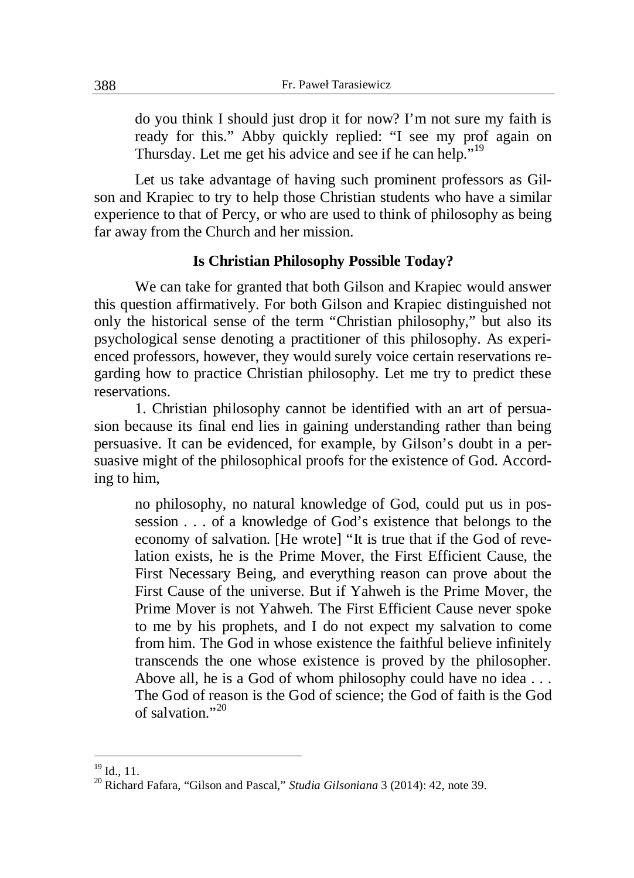do you think I should just drop it for now? I'm not sure my faith is ready for this." Abby quickly replied: "I see my prof again on Thursday. Let me get his advice and see if he can help."<sup>19</sup>

Let us take advantage of having such prominent professors as Gilson and Krapiec to try to help those Christian students who have a similar experience to that of Percy, or who are used to think of philosophy as being far away from the Church and her mission.

# **Is Christian Philosophy Possible Today?**

We can take for granted that both Gilson and Krapiec would answer this question affirmatively. For both Gilson and Krapiec distinguished not only the historical sense of the term "Christian philosophy," but also its psychological sense denoting a practitioner of this philosophy. As experienced professors, however, they would surely voice certain reservations regarding how to practice Christian philosophy. Let me try to predict these reservations.

1. Christian philosophy cannot be identified with an art of persuasion because its final end lies in gaining understanding rather than being persuasive. It can be evidenced, for example, by Gilson's doubt in a persuasive might of the philosophical proofs for the existence of God. According to him,

no philosophy, no natural knowledge of God, could put us in possession . . . of a knowledge of God's existence that belongs to the economy of salvation. [He wrote] "It is true that if the God of revelation exists, he is the Prime Mover, the First Efficient Cause, the First Necessary Being, and everything reason can prove about the First Cause of the universe. But if Yahweh is the Prime Mover, the Prime Mover is not Yahweh. The First Efficient Cause never spoke to me by his prophets, and I do not expect my salvation to come from him. The God in whose existence the faithful believe infinitely transcends the one whose existence is proved by the philosopher. Above all, he is a God of whom philosophy could have no idea . . . The God of reason is the God of science; the God of faith is the God of salvation." $^{20}$ 

 $19$  Id., 11.

<sup>20</sup> Richard Fafara, "Gilson and Pascal," *Studia Gilsoniana* 3 (2014): 42, note 39.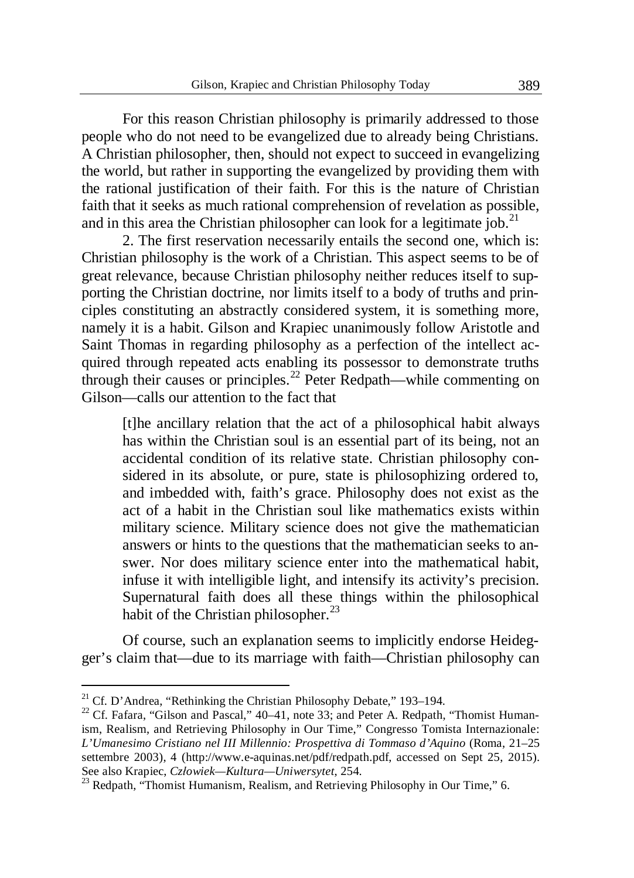For this reason Christian philosophy is primarily addressed to those people who do not need to be evangelized due to already being Christians. A Christian philosopher, then, should not expect to succeed in evangelizing the world, but rather in supporting the evangelized by providing them with the rational justification of their faith. For this is the nature of Christian faith that it seeks as much rational comprehension of revelation as possible, and in this area the Christian philosopher can look for a legitimate job.<sup>21</sup>

2. The first reservation necessarily entails the second one, which is: Christian philosophy is the work of a Christian. This aspect seems to be of great relevance, because Christian philosophy neither reduces itself to supporting the Christian doctrine, nor limits itself to a body of truths and principles constituting an abstractly considered system, it is something more, namely it is a habit. Gilson and Krapiec unanimously follow Aristotle and Saint Thomas in regarding philosophy as a perfection of the intellect acquired through repeated acts enabling its possessor to demonstrate truths through their causes or principles.<sup>22</sup> Peter Redpath—while commenting on Gilson—calls our attention to the fact that

[t]he ancillary relation that the act of a philosophical habit always has within the Christian soul is an essential part of its being, not an accidental condition of its relative state. Christian philosophy considered in its absolute, or pure, state is philosophizing ordered to, and imbedded with, faith's grace. Philosophy does not exist as the act of a habit in the Christian soul like mathematics exists within military science. Military science does not give the mathematician answers or hints to the questions that the mathematician seeks to answer. Nor does military science enter into the mathematical habit, infuse it with intelligible light, and intensify its activity's precision. Supernatural faith does all these things within the philosophical habit of the Christian philosopher. $^{23}$ 

Of course, such an explanation seems to implicitly endorse Heidegger's claim that—due to its marriage with faith—Christian philosophy can

1

<sup>&</sup>lt;sup>21</sup> Cf. D'Andrea, "Rethinking the Christian Philosophy Debate," 193–194.

<sup>&</sup>lt;sup>22</sup> Cf. Fafara, "Gilson and Pascal," 40–41, note 33; and Peter A. Redpath, "Thomist Humanism, Realism, and Retrieving Philosophy in Our Time," Congresso Tomista Internazionale: *L'Umanesimo Cristiano nel III Millennio: Prospettiva di Tommaso d'Aquino* (Roma, 21–25 settembre 2003), 4 (http://www.e-aquinas.net/pdf/redpath.pdf, accessed on Sept 25, 2015). See also Krapiec, *Czáowiek—Kultura—Uniwersytet*, 254.

<sup>&</sup>lt;sup>23</sup> Redpath, "Thomist Humanism, Realism, and Retrieving Philosophy in Our Time," 6.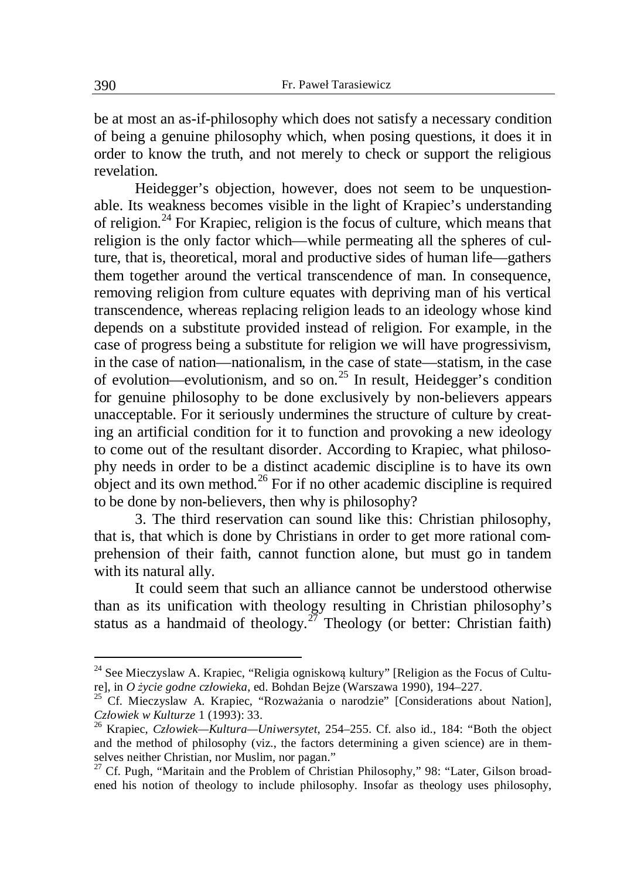be at most an as-if-philosophy which does not satisfy a necessary condition of being a genuine philosophy which, when posing questions, it does it in order to know the truth, and not merely to check or support the religious revelation.

Heidegger's objection, however, does not seem to be unquestionable. Its weakness becomes visible in the light of Krapiec's understanding of religion.<sup>24</sup> For Krapiec, religion is the focus of culture, which means that religion is the only factor which—while permeating all the spheres of culture, that is, theoretical, moral and productive sides of human life—gathers them together around the vertical transcendence of man. In consequence, removing religion from culture equates with depriving man of his vertical transcendence, whereas replacing religion leads to an ideology whose kind depends on a substitute provided instead of religion. For example, in the case of progress being a substitute for religion we will have progressivism, in the case of nation—nationalism, in the case of state—statism, in the case of evolution—evolutionism, and so on.<sup>25</sup> In result, Heidegger's condition for genuine philosophy to be done exclusively by non-believers appears unacceptable. For it seriously undermines the structure of culture by creating an artificial condition for it to function and provoking a new ideology to come out of the resultant disorder. According to Krapiec, what philosophy needs in order to be a distinct academic discipline is to have its own object and its own method.<sup>26</sup> For if no other academic discipline is required to be done by non-believers, then why is philosophy?

3. The third reservation can sound like this: Christian philosophy, that is, that which is done by Christians in order to get more rational comprehension of their faith, cannot function alone, but must go in tandem with its natural ally.

It could seem that such an alliance cannot be understood otherwise than as its unification with theology resulting in Christian philosophy's status as a handmaid of theology.<sup>27</sup> Theology (or better: Christian faith)

 $24$  See Mieczyslaw A. Krapiec, "Religia ogniskową kultury" [Religion as the Focus of Culture], in *O Īycie godne czáowieka*, ed. Bohdan Bejze (Warszawa 1990), 194–227.

Cf. Mieczyslaw A. Krapiec, "Rozważania o narodzie" [Considerations about Nation], *Czáowiek w Kulturze* 1 (1993): 33.

<sup>26</sup> Krapiec, *Czáowiek—Kultura—Uniwersytet*, 254–255. Cf. also id., 184: "Both the object and the method of philosophy (viz., the factors determining a given science) are in themselves neither Christian, nor Muslim, nor pagan."

<sup>&</sup>lt;sup>7</sup> Cf. Pugh, "Maritain and the Problem of Christian Philosophy," 98: "Later, Gilson broadened his notion of theology to include philosophy. Insofar as theology uses philosophy,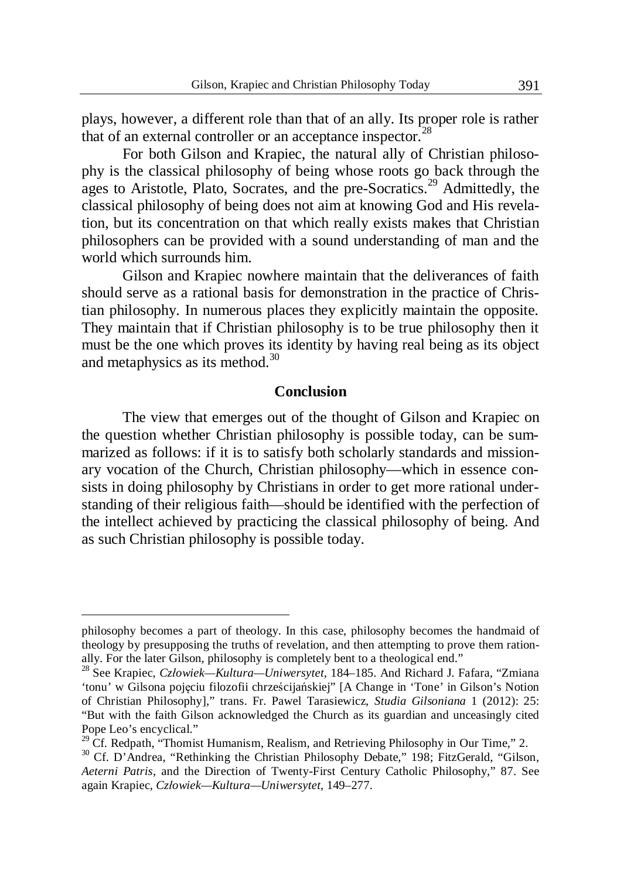plays, however, a different role than that of an ally. Its proper role is rather that of an external controller or an acceptance inspector.<sup>28</sup>

For both Gilson and Krapiec, the natural ally of Christian philosophy is the classical philosophy of being whose roots go back through the ages to Aristotle, Plato, Socrates, and the pre-Socratics.<sup>29</sup> Admittedly, the classical philosophy of being does not aim at knowing God and His revelation, but its concentration on that which really exists makes that Christian philosophers can be provided with a sound understanding of man and the world which surrounds him.

Gilson and Krapiec nowhere maintain that the deliverances of faith should serve as a rational basis for demonstration in the practice of Christian philosophy. In numerous places they explicitly maintain the opposite. They maintain that if Christian philosophy is to be true philosophy then it must be the one which proves its identity by having real being as its object and metaphysics as its method.<sup>30</sup>

#### **Conclusion**

The view that emerges out of the thought of Gilson and Krapiec on the question whether Christian philosophy is possible today, can be summarized as follows: if it is to satisfy both scholarly standards and missionary vocation of the Church, Christian philosophy—which in essence consists in doing philosophy by Christians in order to get more rational understanding of their religious faith—should be identified with the perfection of the intellect achieved by practicing the classical philosophy of being. And as such Christian philosophy is possible today.

philosophy becomes a part of theology. In this case, philosophy becomes the handmaid of theology by presupposing the truths of revelation, and then attempting to prove them rationally. For the later Gilson, philosophy is completely bent to a theological end."

<sup>28</sup> See Krapiec, *Czáowiek—Kultura—Uniwersytet*, 184–185. And Richard J. Fafara, "Zmiana 'tonu' w Gilsona pojęciu filozofii chrześcijańskiej" [A Change in 'Tone' in Gilson's Notion of Christian Philosophy]," trans. Fr. Pawel Tarasiewicz, *Studia Gilsoniana* 1 (2012): 25: "But with the faith Gilson acknowledged the Church as its guardian and unceasingly cited Pope Leo's encyclical."

<sup>&</sup>lt;sup>29</sup> Cf. Redpath, "Thomist Humanism, Realism, and Retrieving Philosophy in Our Time," 2.

<sup>&</sup>lt;sup>30</sup> Cf. D'Andrea, "Rethinking the Christian Philosophy Debate," 198; FitzGerald, "Gilson, *Aeterni Patris*, and the Direction of Twenty-First Century Catholic Philosophy," 87. See again Krapiec, *Czáowiek—Kultura—Uniwersytet*, 149–277.